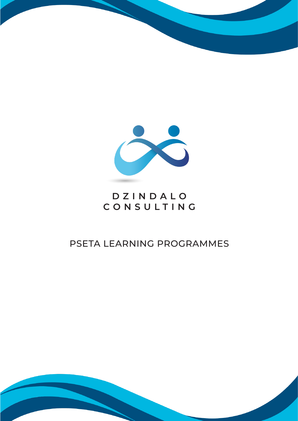

## **DZINDALO CONSULTING**

# PSETA LEARNING PROGRAMMES

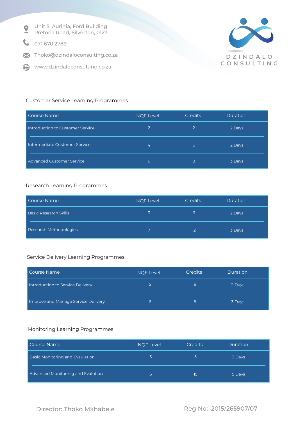- Unit 5, Aurinia, Ford Building Pretoria Road, Silverton, 0127
- 071 670 2789
- $\blacktriangleright$  Thoko@dzindaloconsulting.co.za
- www.dzindaloconsulting.co.za



## Customer Service Learning Programmes

| Course Name                      | <b>NQF Level</b> | <b>Credits</b> | <b>Duration</b> |
|----------------------------------|------------------|----------------|-----------------|
| Introduction to Customer Service | $\overline{2}$   | 2              | 2 Days          |
| Intermediate Customer Service    | 4                | 6              | 2 Days          |
| Advanced Customer Service        | 6                | 8              | 3 Days          |

#### Research Learning Programmes

| Course Name                  | <b>NOF Level</b> | Credits | Duration |
|------------------------------|------------------|---------|----------|
| <b>Basic Research Skills</b> | $\overline{3}$   | 6       | 2 Days   |
| Research Methodologies       | $\mathbf{Z}$     | 12      | 3 Days   |

#### Service Delivery Learning Programmes

| Course Name                         | <b>NOF Level</b> | <b>Credits</b> | <b>Duration</b> |
|-------------------------------------|------------------|----------------|-----------------|
| Introduction to Service Delivery    | 5.               | 6              | 2 Days          |
| Improve and Manage Service Delivery | 6                | 8              | 3 Days          |

#### Monitoring Learning Programmes

| l Course Name                      | <b>NOF Level</b> | <b>Credits</b> | <b>Duration</b> |
|------------------------------------|------------------|----------------|-----------------|
| Basic Monitoring and Evaulation    | 5.               | 5              | 3 Days          |
| Advanced Monitorinig and Evalution | 6                | 15             | 5 Days          |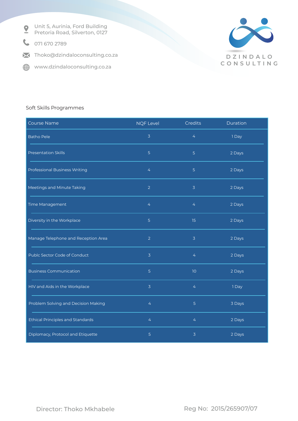Unit 5, Aurinia, Ford Building Pretoria Road, Silverton, 0127

- 071 670 2789
- $\blacktriangleright$  Thoko@dzindaloconsulting.co.za
- www.dzindaloconsulting.co.za



#### Soft Skills Programmes

| <b>Course Name</b>                      | <b>NQF Level</b> | Credits        | Duration |
|-----------------------------------------|------------------|----------------|----------|
| <b>Batho Pele</b>                       | $\overline{3}$   | $\overline{4}$ | 1 Day    |
| <b>Presentation Skills</b>              | 5                | 5 <sup>1</sup> | 2 Days   |
| <b>Professional Business Writing</b>    | $\overline{4}$   | $\overline{5}$ | 2 Days   |
| Meetings and Minute Taking              | $\overline{2}$   | $\overline{3}$ | 2 Days   |
| Time Management                         | $\overline{4}$   | 4              | 2 Days   |
| Diversity in the Workplace              | 5                | 15             | 2 Days   |
| Manage Telephone and Reception Area     | $\overline{2}$   | $\overline{3}$ | 2 Days   |
| Publc Sector Code of Conduct            | $\overline{3}$   | $\overline{4}$ | 2 Days   |
| <b>Business Communication</b>           | 5                | $10$           | 2 Days   |
| HIV and Aids in the Workplace           | $\overline{3}$   | $\overline{4}$ | 1 Day    |
| Problem Solving and Decision Making     | 4                | 5              | 3 Days   |
| <b>Ethical Principles and Standards</b> | 4                | $\overline{4}$ | 2 Days   |
| Diplomacy, Protocol and Etiquette       | 5                | 3              | 2 Days   |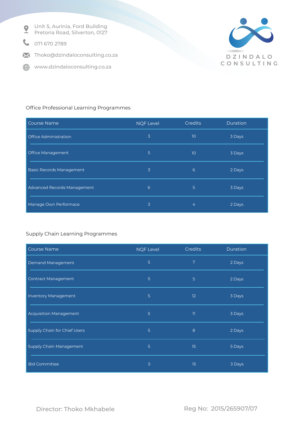Unit 5, Aurinia, Ford Building Pretoria Road, Silverton, 0127

071 670 2789

 $\blacktriangleright$  Thoko@dzindaloconsulting.co.za

www.dzindaloconsulting.co.za



## Office Professional Learning Programmes

| <b>Course Name</b>              | <b>NQF Level</b> | <b>Credits</b>  | <b>Duration</b> |
|---------------------------------|------------------|-----------------|-----------------|
| Office Administration           | $\overline{3}$   | 10 <sup>°</sup> | 3 Days          |
| <b>Office Management</b>        | 5                | 10              | 3 Days          |
| <b>Basic Records Management</b> | $\overline{3}$   | $6\overline{6}$ | 2 Days          |
| Advanced Records Management     | $6 \overline{6}$ | $\overline{5}$  | 3 Days          |
| Manage Own Performace           | $\overline{3}$   | 4               | 2 Days          |

## Supply Chain Learning Programmes

| <b>Course Name</b>            | <b>NQF Level</b> | Credits                  | Duration |
|-------------------------------|------------------|--------------------------|----------|
| Demand Management             | 5 <sup>1</sup>   | 7                        | 2 Days   |
| <b>Contract Management</b>    | 5 <sup>1</sup>   | $5^{\circ}$              | 2 Days   |
| Inventory Management          | 5 <sup>5</sup>   | 12                       | 3 Days   |
| <b>Acquisition Management</b> | 5 <sup>5</sup>   | $\overline{\phantom{a}}$ | 3 Days   |
| Supply Chain for Chief Users  | 5 <sup>5</sup>   | 8                        | 2 Days   |
| Supply Chain Management       | $\overline{5}$   | 15                       | 5 Days   |
| <b>Bid Committee</b>          | $\overline{5}$   | 15                       | 3 Days   |